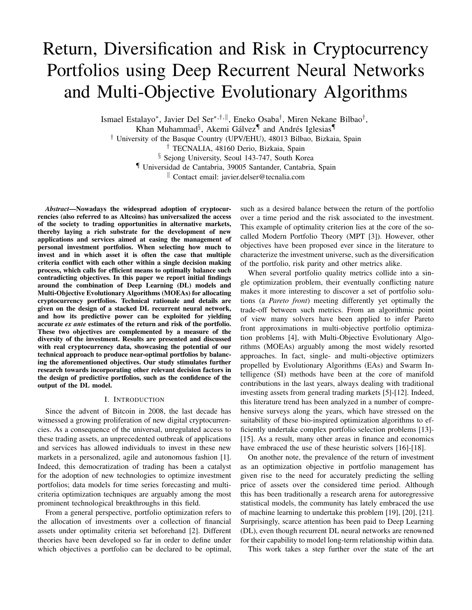# Return, Diversification and Risk in Cryptocurrency Portfolios using Deep Recurrent Neural Networks and Multi-Objective Evolutionary Algorithms

Ismael Estalayo\*, Javier Del Ser\*,<sup>†,∥</sup>, Eneko Osaba<sup>†</sup>, Miren Nekane Bilbao<sup>†</sup>, Khan Muhammad<sup>§</sup>, Akemi Gálvez<sup>¶</sup> and Andrés Iglesias<sup>¶</sup>

† University of the Basque Country (UPV/EHU), 48013 Bilbao, Bizkaia, Spain

† TECNALIA, 48160 Derio, Bizkaia, Spain

§ Sejong University, Seoul 143-747, South Korea

¶ Universidad de Cantabria, 39005 Santander, Cantabria, Spain

<sup>k</sup> Contact email: javier.delser@tecnalia.com

*Abstract*—Nowadays the widespread adoption of cryptocurrencies (also referred to as Altcoins) has universalized the access of the society to trading opportunities in alternative markets, thereby laying a rich substrate for the development of new applications and services aimed at easing the management of personal investment portfolios. When selecting how much to invest and in which asset it is often the case that multiple criteria conflict with each other within a single decision making process, which calls for efficient means to optimally balance such contradicting objectives. In this paper we report initial findings around the combination of Deep Learning (DL) models and Multi-Objective Evolutionary Algorithms (MOEAs) for allocating cryptocurrency portfolios. Technical rationale and details are given on the design of a stacked DL recurrent neural network, and how its predictive power can be exploited for yielding accurate *ex ante* estimates of the return and risk of the portfolio. These two objectives are complemented by a measure of the diversity of the investment. Results are presented and discussed with real cryptocurrency data, showcasing the potential of our technical approach to produce near-optimal portfolios by balancing the aforementioned objectives. Our study stimulates further research towards incorporating other relevant decision factors in the design of predictive portfolios, such as the confidence of the output of the DL model.

### I. INTRODUCTION

Since the advent of Bitcoin in 2008, the last decade has witnessed a growing proliferation of new digital cryptocurrencies. As a consequence of the universal, unregulated access to these trading assets, an unprecedented outbreak of applications and services has allowed individuals to invest in these new markets in a personalized, agile and autonomous fashion [1]. Indeed, this democratization of trading has been a catalyst for the adoption of new technologies to optimize investment portfolios; data models for time series forecasting and multicriteria optimization techniques are arguably among the most prominent technological breakthroughs in this field.

From a general perspective, portfolio optimization refers to the allocation of investments over a collection of financial assets under optimality criteria set beforehand [2]. Different theories have been developed so far in order to define under which objectives a portfolio can be declared to be optimal, such as a desired balance between the return of the portfolio over a time period and the risk associated to the investment. This example of optimality criterion lies at the core of the socalled Modern Portfolio Theory (MPT [3]). However, other objectives have been proposed ever since in the literature to characterize the investment universe, such as the diversification of the portfolio, risk parity and other metrics alike.

When several portfolio quality metrics collide into a single optimization problem, their eventually conflicting nature makes it more interesting to discover a set of portfolio solutions (a *Pareto front*) meeting differently yet optimally the trade-off between such metrics. From an algorithmic point of view many solvers have been applied to infer Pareto front approximations in multi-objective portfolio optimization problems [4], with Multi-Objective Evolutionary Algorithms (MOEAs) arguably among the most widely resorted approaches. In fact, single- and multi-objective optimizers propelled by Evolutionary Algorithms (EAs) and Swarm Intelligence (SI) methods have been at the core of manifold contributions in the last years, always dealing with traditional investing assets from general trading markets [5]-[12]. Indeed, this literature trend has been analyzed in a number of comprehensive surveys along the years, which have stressed on the suitability of these bio-inspired optimization algorithms to efficiently undertake complex portfolio selection problems [13]- [15]. As a result, many other areas in finance and economics have embraced the use of these heuristic solvers [16]-[18].

On another note, the prevalence of the return of investment as an optimization objective in portfolio management has given rise to the need for accurately predicting the selling price of assets over the considered time period. Although this has been traditionally a research arena for autoregressive statistical models, the community has lately embraced the use of machine learning to undertake this problem [19], [20], [21]. Surprisingly, scarce attention has been paid to Deep Learning (DL), even though recurrent DL neural networks are renowned for their capability to model long-term relationship within data.

This work takes a step further over the state of the art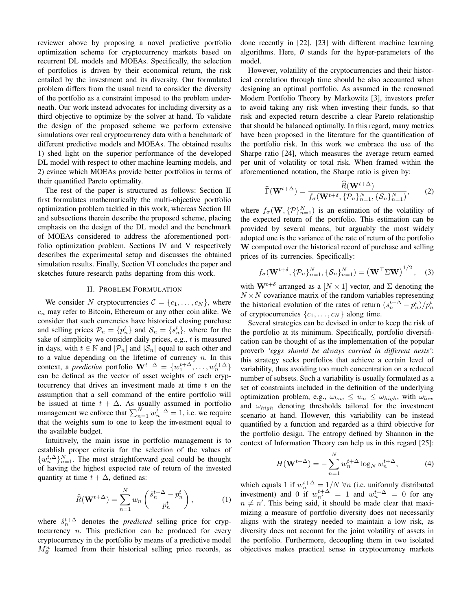reviewer above by proposing a novel predictive portfolio optimization scheme for cryptocurrency markets based on recurrent DL models and MOEAs. Specifically, the selection of portfolios is driven by their economical return, the risk entailed by the investment and its diversity. Our formulated problem differs from the usual trend to consider the diversity of the portfolio as a constraint imposed to the problem underneath. Our work instead advocates for including diversity as a third objective to optimize by the solver at hand. To validate the design of the proposed scheme we perform extensive simulations over real cryptocurrency data with a benchmark of different predictive models and MOEAs. The obtained results 1) shed light on the superior performance of the developed DL model with respect to other machine learning models, and 2) evince which MOEAs provide better portfolios in terms of their quantified Pareto optimality.

The rest of the paper is structured as follows: Section II first formulates mathematically the multi-objective portfolio optimization problem tackled in this work, whereas Section III and subsections therein describe the proposed scheme, placing emphasis on the design of the DL model and the benchmark of MOEAs considered to address the aforementioned portfolio optimization problem. Sections IV and V respectively describes the experimental setup and discusses the obtained simulation results. Finally, Section VI concludes the paper and sketches future research paths departing from this work.

# II. PROBLEM FORMULATION

We consider N cryptocurrencies  $C = \{c_1, \ldots, c_N\}$ , where  $c_n$  may refer to Bitcoin, Ethereum or any other coin alike. We consider that such currencies have historical closing purchase and selling prices  $\mathcal{P}_n = \{p_n^t\}$  and  $\mathcal{S}_n = \{s_n^t\}$ , where for the sake of simplicity we consider daily prices, e.g.,  $t$  is measured in days, with  $t \in \mathbb{N}$  and  $|\mathcal{P}_n|$  and  $|\mathcal{S}_n|$  equal to each other and to a value depending on the lifetime of currency  $n$ . In this context, a *predictive* portfolio  $\mathbf{W}^{t+\Delta} = \{w_1^{t+\Delta}, \ldots, w_n^{t+\Delta}\}\$ can be defined as the vector of asset weights of each cryptocurrency that drives an investment made at time  $t$  on the assumption that a sell command of the entire portfolio will be issued at time  $t + \Delta$ . As usually assumed in portfolio management we enforce that  $\sum_{n=1}^{N} w_n^{t+\Delta} = 1$ , i.e. we require that the weights sum to one to keep the investment equal to the available budget.

Intuitively, the main issue in portfolio management is to establish proper criteria for the selection of the values of  $\{w_n^{t,\Delta}\}_{n=1}^N$ . The most straightforward goal could be thought of having the highest expected rate of return of the invested quantity at time  $t + \Delta$ , defined as:

$$
\widehat{R}(\mathbf{W}^{t+\Delta}) = \sum_{n=1}^{N} w_n \left( \frac{\widehat{s}_n^{t+\Delta} - p_n^t}{p_n^t} \right),\tag{1}
$$

where  $\hat{s}_n^{t+\Delta}$  denotes the *predicted* selling price for cryptocurrency  $n$ . This prediction can be produced for every cryptocurrency in the portfolio by means of a predictive model  $M_{\theta}^{n}$  learned from their historical selling price records, as done recently in [22], [23] with different machine learning algorithms. Here,  $\theta$  stands for the hyper-parameters of the model.

However, volatility of the cryptocurrencies and their historical correlation through time should be also accounted when designing an optimal portfolio. As assumed in the renowned Modern Portfolio Theory by Markowitz [3], investors prefer to avoid taking any risk when investing their funds, so that risk and expected return describe a clear Pareto relationship that should be balanced optimally. In this regard, many metrics have been proposed in the literature for the quantification of the portfolio risk. In this work we embrace the use of the Sharpe ratio [24], which measures the average return earned per unit of volatility or total risk. When framed within the aforementioned notation, the Sharpe ratio is given by:

$$
\widehat{\Gamma}(\mathbf{W}^{t+\Delta}) = \frac{\widehat{R}(\mathbf{W}^{t+\Delta})}{f_{\sigma}(\mathbf{W}^{t+\delta}, \{\mathcal{P}_n\}_{n=1}^N, \{\mathcal{S}_n\}_{n=1}^N)},
$$
(2)

where  $f_{\sigma}(\mathbf{W}, \{P\}_{n=1}^{N})$  is an estimation of the volatility of the expected return of the portfolio. This estimation can be provided by several means, but arguably the most widely adopted one is the variance of the rate of return of the portfolio W computed over the historical record of purchase and selling prices of its currencies. Specifically:

$$
f_{\sigma}(\mathbf{W}^{t+\delta}, \{\mathcal{P}_n\}_{n=1}^N, \{\mathcal{S}_n\}_{n=1}^N) = (\mathbf{W}^\top \Sigma \mathbf{W})^{1/2}, \quad (3)
$$

with  $\mathbf{W}^{t+\delta}$  arranged as a  $[N \times 1]$  vector, and  $\Sigma$  denoting the  $N \times N$  covariance matrix of the random variables representing the historical evolution of the rates of return  $(s_n^{t+\Delta} - p_n^t)/p_n^t$ of cryptocurrencies  $\{c_1, \ldots, c_N\}$  along time.

Several strategies can be devised in order to keep the risk of the portfolio at its minimum. Specifically, portfolio diversification can be thought of as the implementation of the popular proverb *'eggs should be always carried in different nests'*: this strategy seeks portfolios that achieve a certain level of variability, thus avoiding too much concentration on a reduced number of subsets. Such a variability is usually formulated as a set of constraints included in the definition of the underlying optimization problem, e.g.,  $\omega_{low} \leq w_n \leq \omega_{high}$ , with  $\omega_{low}$ and  $\omega_{high}$  denoting thresholds tailored for the investment scenario at hand. However, this variability can be instead quantified by a function and regarded as a third objective for the portfolio design. The entropy defined by Shannon in the context of Information Theory can help us in this regard [25]:

$$
H(\mathbf{W}^{t+\Delta}) = -\sum_{n=1}^{N} w_n^{t+\Delta} \log_N w_n^{t+\Delta},
$$
 (4)

which equals 1 if  $w_n^{t + \Delta} = 1/N \ \forall n$  (i.e. uniformly distributed investment) and 0 if  $w_{n'}^{t+\Delta} = 1$  and  $w_n^{t+\Delta} = 0$  for any  $n \neq n'$ . This being said, it should be made clear that maximizing a measure of portfolio diversity does not necessarily aligns with the strategy needed to maintain a low risk, as diversity does not account for the joint volatility of assets in the portfolio. Furthermore, decoupling them in two isolated objectives makes practical sense in cryptocurrency markets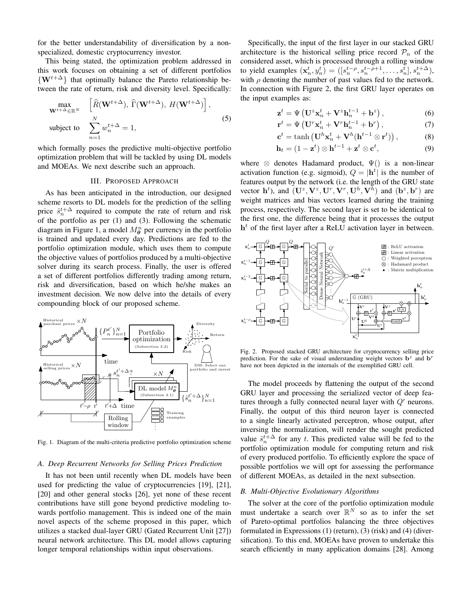for the better understandability of diversification by a nonspecialized, domestic cryptocurrency investor.

This being stated, the optimization problem addressed in this work focuses on obtaining a set of different portfolios  $\{W^{t+\Delta}\}\$  that optimally balance the Pareto relationship between the rate of return, risk and diversity level. Specifically:

$$
\begin{aligned}\n\max_{\mathbf{W}^{t+\Delta} \in \mathbb{R}^N} & \left[ \widehat{R}(\mathbf{W}^{t+\Delta}), \widehat{\Gamma}(\mathbf{W}^{t+\Delta}), H(\mathbf{W}^{t+\Delta}) \right], \\
\text{subject to} & \sum_{n=1}^N w_n^{t+\Delta} = 1,\n\end{aligned} \tag{5}
$$

which formally poses the predictive multi-objective portfolio optimization problem that will be tackled by using DL models and MOEAs. We next describe such an approach.

#### III. PROPOSED APPROACH

As has been anticipated in the introduction, our designed scheme resorts to DL models for the prediction of the selling price  $\hat{s}_n^{t+\Delta}$  required to compute the rate of return and risk of the portfolio as per (1) and (3). Following the schematic diagram in Figure 1, a model  $M_{\theta}^n$  per currency in the portfolio is trained and updated every day. Predictions are fed to the portfolio optimization module, which uses them to compute the objective values of portfolios produced by a multi-objective solver during its search process. Finally, the user is offered a set of different portfolios differently trading among return, risk and diversification, based on which he/she makes an investment decision. We now delve into the details of every compounding block of our proposed scheme.



Fig. 1. Diagram of the multi-criteria predictive portfolio optimization scheme

#### *A. Deep Recurrent Networks for Selling Prices Prediction*

It has not been until recently when DL models have been used for predicting the value of cryptocurrencies [19], [21], [20] and other general stocks [26], yet none of these recent contributions have still gone beyond predictive modeling towards portfolio management. This is indeed one of the main novel aspects of the scheme proposed in this paper, which utilizes a stacked dual-layer GRU (Gated Recurrent Unit [27]) neural network architecture. This DL model allows capturing longer temporal relationships within input observations.

Specifically, the input of the first layer in our stacked GRU architecture is the historical selling price record  $\mathcal{P}_n$  of the considered asset, which is processed through a rolling window to yield examples  $(\mathbf{x}_n^t, y_n^t) = ([s_n^{t-\rho}, s_n^{t-\rho+1}, \dots, s_n^t], s_n^{t+\Delta}),$ with  $\rho$  denoting the number of past values fed to the network. In connection with Figure 2, the first GRU layer operates on the input examples as:

$$
\mathbf{z}^{t} = \Psi\left(\mathbf{U}^{z}\mathbf{x}_{n}^{t} + \mathbf{V}^{z}\mathbf{h}_{n}^{t-1} + \mathbf{b}^{z}\right),\tag{6}
$$

$$
\mathbf{r}^{t} = \Psi\left(\mathbf{U}^{r}\mathbf{x}_{n}^{t} + \mathbf{V}^{r}\mathbf{h}_{n}^{t-1} + \mathbf{b}^{r}\right),\tag{7}
$$

$$
\mathbf{c}^t = \tanh\left(\mathbf{U}^h \mathbf{x}_n^t + \mathbf{V}^h (\mathbf{h}^{t-1} \otimes \mathbf{r}^t)\right),\tag{8}
$$

$$
\mathbf{h}_t = (1 - \mathbf{z}^t) \otimes \mathbf{h}^{t-1} + \mathbf{z}^t \otimes \mathbf{c}^t, \tag{9}
$$

where  $\otimes$  denotes Hadamard product,  $\Psi()$  is a non-linear activation function (e.g. sigmoid),  $Q = |\mathbf{h}^t|$  is the number of features output by the network (i.e. the length of the GRU state vector  $\mathbf{h}^t$ ), and  $(\mathbf{U}^z, \mathbf{V}^z, \mathbf{U}^r, \mathbf{V}^r, \mathbf{U}^h, \mathbf{V}^h)$  and  $(\mathbf{b}^z, \mathbf{b}^r)$  are weight matrices and bias vectors learned during the training process, respectively. The second layer is set to be identical to the first one, the difference being that it processes the output  $h<sup>t</sup>$  of the first layer after a ReLU activation layer in between.



Fig. 2. Proposed stacked GRU architecture for cryptocurrency selling price prediction. For the sake of visual understanding weight vectors  $\mathbf{b}^z$  and  $\mathbf{b}^r$ have not been depicted in the internals of the exemplified GRU cell.

The model proceeds by flattening the output of the second GRU layer and processing the serialized vector of deep features through a fully connected neural layer with  $Q'$  neurons. Finally, the output of this third neuron layer is connected to a single linearly activated perceptron, whose output, after inversing the normalization, will render the sought predicted value  $\hat{s}_n^{t+\Delta}$  for any t. This predicted value will be fed to the portfolio optimization module for computing return and risk of every produced portfolio. To efficiently explore the space of possible portfolios we will opt for assessing the performance of different MOEAs, as detailed in the next subsection.

#### *B. Multi-Objective Evolutionary Algorithms*

The solver at the core of the portfolio optimization module must undertake a search over  $\mathbb{R}^N$  so as to infer the set of Pareto-optimal portfolios balancing the three objectives formulated in Expressions (1) (return), (3) (risk) and (4) (diversification). To this end, MOEAs have proven to undertake this search efficiently in many application domains [28]. Among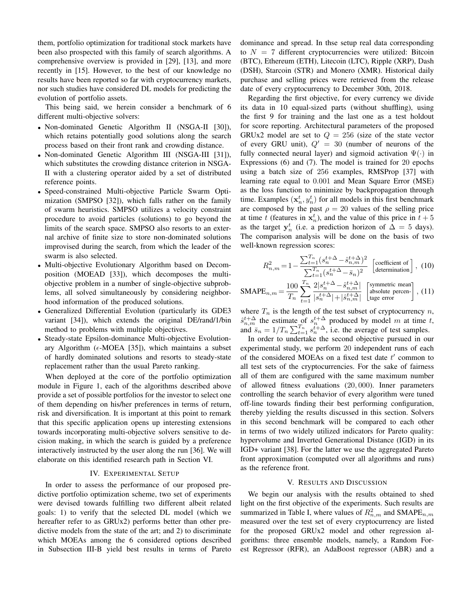them, portfolio optimization for traditional stock markets have been also prospected with this family of search algorithms. A comprehensive overview is provided in [29], [13], and more recently in [15]. However, to the best of our knowledge no results have been reported so far with cryptocurrency markets, nor such studies have considered DL models for predicting the evolution of portfolio assets.

This being said, we herein consider a benchmark of 6 different multi-objective solvers:

- Non-dominated Genetic Algorithm II (NSGA-II [30]), which retains potentially good solutions along the search process based on their front rank and crowding distance.
- Non-dominated Genetic Algorithm III (NSGA-III [31]), which substitutes the crowding distance criterion in NSGA-II with a clustering operator aided by a set of distributed reference points.
- Speed-constrained Multi-objective Particle Swarm Optimization (SMPSO [32]), which falls rather on the family of swarm heuristics. SMPSO utilizes a velocity constraint procedure to avoid particles (solutions) to go beyond the limits of the search space. SMPSO also resorts to an external archive of finite size to store non-dominated solutions improvised during the search, from which the leader of the swarm is also selected.
- Multi-objective Evolutionary Algorithm based on Decomposition (MOEAD [33]), which decomposes the multiobjective problem in a number of single-objective subproblems, all solved simultaneously by considering neighborhood information of the produced solutions.
- Generalized Differential Evolution (particularly its GDE3 variant [34]), which extends the original DE/rand/1/bin method to problems with multiple objectives.
- Steady-state Epsilon-dominance Multi-objective Evolutionary Algorithm ( $\epsilon$ -MOEA [35]), which maintains a subset of hardly dominated solutions and resorts to steady-state replacement rather than the usual Pareto ranking.

When deployed at the core of the portfolio optimization module in Figure 1, each of the algorithms described above provide a set of possible portfolios for the investor to select one of them depending on his/her preferences in terms of return, risk and diversification. It is important at this point to remark that this specific application opens up interesting extensions towards incorporating multi-objective solvers sensitive to decision making, in which the search is guided by a preference interactively instructed by the user along the run [36]. We will elaborate on this identified research path in Section VI.

# IV. EXPERIMENTAL SETUP

In order to assess the performance of our proposed predictive portfolio optimization scheme, two set of experiments were devised towards fulfilling two different albeit related goals: 1) to verify that the selected DL model (which we hereafter refer to as GRUx2) performs better than other predictive models from the state of the art; and 2) to discriminate which MOEAs among the 6 considered options described in Subsection III-B yield best results in terms of Pareto dominance and spread. In thse setup real data corresponding to  $N = 7$  different cryptocurrencies were utilized: Bitcoin (BTC), Ethereum (ETH), Litecoin (LTC), Ripple (XRP), Dash (DSH), Starcoin (STR) and Monero (XMR). Historical daily purchase and selling prices were retrieved from the release date of every cryptocurrency to December 30th, 2018.

Regarding the first objective, for every currency we divide its data in 10 equal-sized parts (without shuffling), using the first 9 for training and the last one as a test holdout for score reporting. Architectural parameters of the proposed GRUx2 model are set to  $Q = 256$  (size of the state vector of every GRU unit),  $Q' = 30$  (number of neurons of the fully connected neural layer) and sigmoid activation  $\Psi(\cdot)$  in Expressions (6) and (7). The model is trained for 20 epochs using a batch size of 256 examples, RMSProp [37] with learning rate equal to 0.001 and Mean Square Error (MSE) as the loss function to minimize by backpropagation through time. Examples  $(\mathbf{x}_n^t, y_n^t)$  for all models in this first benchmark are composed by the past  $\rho = 20$  values of the selling price at time t (features in  $x_n^t$ ), and the value of this price in  $t + 5$ as the target  $y_n^t$  (i.e. a prediction horizon of  $\Delta = 5$  days). The comparison analysis will be done on the basis of two well-known regression scores:

$$
R_{n,m}^2 = 1 - \frac{\sum_{t=1}^{T_n} (s_n^{t+\Delta} - \hat{s}_{n,m}^{t+\Delta})^2}{\sum_{t=1}^{T_n} (s_n^{t+\Delta} - \bar{s}_n)^2} \begin{bmatrix} \text{coefficient of} \\ \text{determination} \end{bmatrix}, (10)
$$

$$
\text{SMAPE}_{n,m} = \frac{100}{T_n} \sum_{t=1}^{T_n} \frac{2|s_n^{t+\Delta} - \hat{s}_{n,m}^{t+\Delta}|}{|s_n^{t+\Delta}| + |\hat{s}_{n,m}^{t+\Delta}|} \quad \text{[symmetric mean]}_{\text{absolute percen-}} \,, (11)
$$

where  $T_n$  is the length of the test subset of cryptocurrency n,  $\hat{s}_{n,m}^{t+\Delta}$  the estimate of  $s_n^{t+\Delta}$  produced by model m at time t, and  $\bar{s}_n = 1/T_n \sum_{t=1}^{T_n} s_n^{t+\Delta}$ , i.e. the average of test samples.

In order to undertake the second objective pursued in our experimental study, we perform 20 independent runs of each of the considered MOEAs on a fixed test date  $t'$  common to all test sets of the cryptocurrencies. For the sake of fairness all of them are configured with the same maximum number of allowed fitness evaluations (20, 000). Inner parameters controlling the search behavior of every algorithm were tuned off-line towards finding their best performing configuration, thereby yielding the results discussed in this section. Solvers in this second benchmark will be compared to each other in terms of two widely utilized indicators for Pareto quality: hypervolume and Inverted Generational Distance (IGD) in its IGD+ variant [38]. For the latter we use the aggregated Pareto front approximation (computed over all algorithms and runs) as the reference front.

# V. RESULTS AND DISCUSSION

We begin our analysis with the results obtained to shed light on the first objective of the experiments. Such results are summarized in Table I, where values of  $R_{n,m}^2$  and SMAPE $_{n,m}$ measured over the test set of every cryptocurrency are listed for the proposed GRUx2 model and other regression algorithms: three ensemble models, namely, a Random Forest Regressor (RFR), an AdaBoost regressor (ABR) and a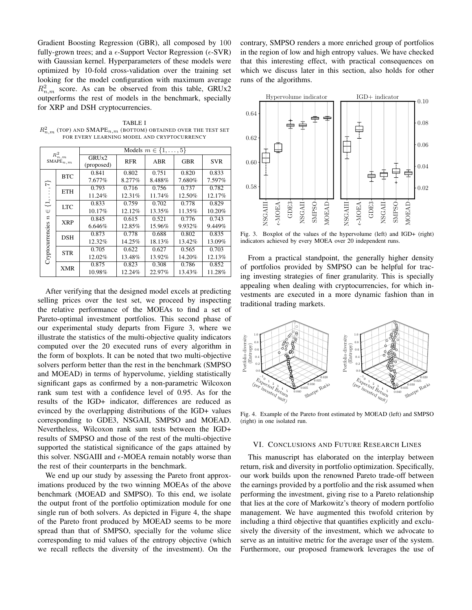Gradient Boosting Regression (GBR), all composed by 100 fully-grown trees; and a  $\epsilon$ -Support Vector Regression ( $\epsilon$ -SVR) with Gaussian kernel. Hyperparameters of these models were optimized by 10-fold cross-validation over the training set looking for the model configuration with maximum average  $R_{n,m}^2$  score. As can be observed from this table, GRUx2 outperforms the rest of models in the benchmark, specially for XRP and DSH cryptocurrencies.

TABLE I  $R^2_{n,m}$  (top) and  $\mathrm{SMAPE}_{n,m}$  (bottom) obtained over the test set FOR EVERY LEARNING MODEL AND CRYPTOCURRENCY

| $R_{n_\gamma m}^2$<br>$\mathtt{SMAPE}_{n,m}$        |            | Models $m \in \{1, \ldots, 5\}$ |            |        |            |            |
|-----------------------------------------------------|------------|---------------------------------|------------|--------|------------|------------|
|                                                     |            | GRU <sub>x2</sub><br>(proposed) | <b>RFR</b> | ABR    | <b>GBR</b> | <b>SVR</b> |
| ᡏ<br>Φ<br>W<br>$\boldsymbol{n}$<br>Cryptocurrencies | <b>BTC</b> | 0.841                           | 0.802      | 0.751  | 0.820      | 0.833      |
|                                                     |            | 7.677%                          | 8.277%     | 8.488% | 7.680%     | 7.597%     |
|                                                     | <b>ETH</b> | 0.793                           | 0.716      | 0.756  | 0.737      | 0.782      |
|                                                     |            | 11.24%                          | 12.31%     | 11.74% | 12.50%     | 12.17%     |
|                                                     | <b>LTC</b> | 0.833                           | 0.759      | 0.702  | 0.778      | 0.829      |
|                                                     |            | 10.17%                          | 12.12%     | 13.35% | 11.35%     | 10.20%     |
|                                                     | <b>XRP</b> | 0.845                           | 0.615      | 0.521  | 0.776      | 0.743      |
|                                                     |            | 6.646%                          | 12.85%     | 15.96% | 9.932%     | 9.449%     |
|                                                     | DSH        | 0.873                           | 0.778      | 0.688  | 0.802      | 0.835      |
|                                                     |            | 12.32%                          | 14.25%     | 18.13% | 13.42%     | 13.09%     |
|                                                     | <b>STR</b> | 0.705                           | 0.622      | 0.627  | 0.565      | 0.703      |
|                                                     |            | 12.02%                          | 13.48%     | 13.92% | 14.20%     | 12.13%     |
|                                                     | XMR        | 0.875                           | 0.823      | 0.308  | 0.786      | 0.852      |
|                                                     |            | 10.98%                          | 12.24%     | 22.97% | 13.43%     | 11.28%     |

After verifying that the designed model excels at predicting selling prices over the test set, we proceed by inspecting the relative performance of the MOEAs to find a set of Pareto-optimal investment portfolios. This second phase of our experimental study departs from Figure 3, where we illustrate the statistics of the multi-objective quality indicators computed over the 20 executed runs of every algorithm in the form of boxplots. It can be noted that two multi-objective solvers perform better than the rest in the benchmark (SMPSO and MOEAD) in terms of hypervolume, yielding statistically significant gaps as confirmed by a non-parametric Wilcoxon rank sum test with a confidence level of 0.95. As for the results of the IGD+ indicator, differences are reduced as evinced by the overlapping distributions of the IGD+ values corresponding to GDE3, NSGAII, SMPSO and MOEAD. Nevertheless, Wilcoxon rank sum tests between the IGD+ results of SMPSO and those of the rest of the multi-objective supported the statistical significance of the gaps attained by this solver. NSGAIII and  $\epsilon$ -MOEA remain notably worse than the rest of their counterparts in the benchmark.

We end up our study by assessing the Pareto front approximations produced by the two winning MOEAs of the above benchmark (MOEAD and SMPSO). To this end, we isolate the output front of the portfolio optimization module for one single run of both solvers. As depicted in Figure 4, the shape of the Pareto front produced by MOEAD seems to be more spread than that of SMPSO, specially for the volume slice corresponding to mid values of the entropy objective (which we recall reflects the diversity of the investment). On the contrary, SMPSO renders a more enriched group of portfolios in the region of low and high entropy values. We have checked that this interesting effect, with practical consequences on which we discuss later in this section, also holds for other runs of the algorithms.



Fig. 3. Boxplot of the values of the hypervolume (left) and IGD+ (right) indicators achieved by every MOEA over 20 independent runs.

From a practical standpoint, the generally higher density of portfolios provided by SMPSO can be helpful for tracing investing strategies of finer granularity. This is specially appealing when dealing with cryptocurrencies, for which investments are executed in a more dynamic fashion than in traditional trading markets.



Fig. 4. Example of the Pareto front estimated by MOEAD (left) and SMPSO (right) in one isolated run.

#### VI. CONCLUSIONS AND FUTURE RESEARCH LINES

This manuscript has elaborated on the interplay between return, risk and diversity in portfolio optimization. Specifically, our work builds upon the renowned Pareto trade-off between the earnings provided by a portfolio and the risk assumed when performing the investment, giving rise to a Pareto relationship that lies at the core of Markowitz's theory of modern portfolio management. We have augmented this twofold criterion by including a third objective that quantifies explicitly and exclusively the diversity of the investment, which we advocate to serve as an intuitive metric for the average user of the system. Furthermore, our proposed framework leverages the use of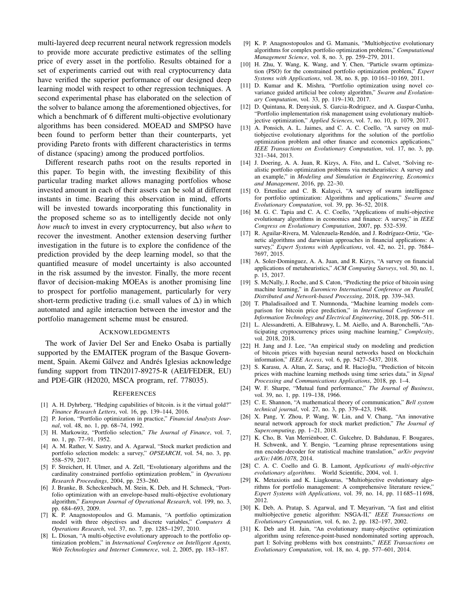multi-layered deep recurrent neural network regression models to provide more accurate predictive estimates of the selling price of every asset in the portfolio. Results obtained for a set of experiments carried out with real cryptocurrency data have verified the superior performance of our designed deep learning model with respect to other regression techniques. A second experimental phase has elaborated on the selection of the solver to balance among the aforementioned objectives, for which a benchmark of 6 different multi-objective evolutionary algorithms has been considered. MOEAD and SMPSO have been found to perform better than their counterparts, yet providing Pareto fronts with different characteristics in terms of distance (spacing) among the produced portfolios.

Different research paths root on the results reported in this paper. To begin with, the investing flexibility of this particular trading market allows managing portfolios whose invested amount in each of their assets can be sold at different instants in time. Bearing this observation in mind, efforts will be invested towards incorporating this functionality in the proposed scheme so as to intelligently decide not only *how much* to invest in every cryptocurrency, but also *when* to recover the investment. Another extension deserving further investigation in the future is to explore the confidence of the prediction provided by the deep learning model, so that the quantified measure of model uncertainty is also accounted in the risk assumed by the investor. Finally, the more recent flavor of decision-making MOEAs is another promising line to prospect for portfolio management, particularly for very short-term predictive trading (i.e. small values of  $\Delta$ ) in which automated and agile interaction between the investor and the portfolio management scheme must be ensured.

# ACKNOWLEDGMENTS

The work of Javier Del Ser and Eneko Osaba is partially supported by the EMAITEK program of the Basque Government, Spain. Akemi Gálvez and Andrés Iglesias acknowledge funding support from TIN2017-89275-R (AEI/FEDER, EU) and PDE-GIR (H2020, MSCA program, ref. 778035).

#### **REFERENCES**

- [1] A. H. Dyhrberg, "Hedging capabilities of bitcoin. is it the virtual gold?" *Finance Research Letters*, vol. 16, pp. 139–144, 2016.
- [2] P. Jorion, "Portfolio optimization in practice," *Financial Analysts Journal*, vol. 48, no. 1, pp. 68–74, 1992.
- [3] H. Markowitz, "Portfolio selection," *The Journal of Finance*, vol. 7, no. 1, pp. 77–91, 1952.
- [4] A. M. Rather, V. Sastry, and A. Agarwal, "Stock market prediction and portfolio selection models: a survey," *OPSEARCH*, vol. 54, no. 3, pp. 558–579, 2017.
- [5] F. Streichert, H. Ulmer, and A. Zell, "Evolutionary algorithms and the cardinality constrained portfolio optimization problem," in *Operations Research Proceedings*, 2004, pp. 253–260.
- [6] J. Branke, B. Scheckenbach, M. Stein, K. Deb, and H. Schmeck, "Portfolio optimization with an envelope-based multi-objective evolutionary algorithm," *European Journal of Operational Research*, vol. 199, no. 3, pp. 684–693, 2009.
- [7] K. P. Anagnostopoulos and G. Mamanis, "A portfolio optimization model with three objectives and discrete variables," *Computers & Operations Research*, vol. 37, no. 7, pp. 1285–1297, 2010.
- [8] L. Diosan, "A multi-objective evolutionary approach to the portfolio optimization problem," in *International Conference on Intelligent Agents, Web Technologies and Internet Commerce*, vol. 2, 2005, pp. 183–187.
- [9] K. P. Anagnostopoulos and G. Mamanis, "Multiobjective evolutionary algorithms for complex portfolio optimization problems," *Computational Management Science*, vol. 8, no. 3, pp. 259–279, 2011.
- [10] H. Zhu, Y. Wang, K. Wang, and Y. Chen, "Particle swarm optimization (PSO) for the constrained portfolio optimization problem," *Expert Systems with Applications*, vol. 38, no. 8, pp. 10 161–10 169, 2011.
- [11] D. Kumar and K. Mishra, "Portfolio optimization using novel covariance guided artificial bee colony algorithm," *Swarm and Evolutionary Computation*, vol. 33, pp. 119–130, 2017.
- [12] D. Quintana, R. Denysiuk, S. Garcia-Rodriguez, and A. Gaspar-Cunha, "Portfolio implementation risk management using evolutionary multiobjective optimization," *Applied Sciences*, vol. 7, no. 10, p. 1079, 2017.
- [13] A. Ponsich, A. L. Jaimes, and C. A. C. Coello, "A survey on multiobjective evolutionary algorithms for the solution of the portfolio optimization problem and other finance and economics applications," *IEEE Transactions on Evolutionary Computation*, vol. 17, no. 3, pp. 321–344, 2013.
- [14] J. Doering, A. A. Juan, R. Kizys, A. Fito, and L. Calvet, "Solving realistic portfolio optimization problems via metaheuristics: A survey and an example," in *Modeling and Simulation in Engineering, Economics and Management*, 2016, pp. 22–30.
- [15] O. Ertenlice and C. B. Kalayci, "A survey of swarm intelligence for portfolio optimization: Algorithms and applications," *Swarm and Evolutionary Computation*, vol. 39, pp. 36–52, 2018.
- [16] M. G. C. Tapia and C. A. C. Coello, "Applications of multi-objective evolutionary algorithms in economics and finance: A survey," in *IEEE Congress on Evolutionary Computation*, 2007, pp. 532–539.
- [17] R. Aguilar-Rivera, M. Valenzuela-Rendón, and J. Rodríguez-Ortiz, "Genetic algorithms and darwinian approaches in financial applications: A survey," *Expert Systems with Applications*, vol. 42, no. 21, pp. 7684– 7697, 2015.
- [18] A. Soler-Dominguez, A. A. Juan, and R. Kizys, "A survey on financial applications of metaheuristics," *ACM Computing Surveys*, vol. 50, no. 1, p. 15, 2017.
- [19] S. McNally, J. Roche, and S. Caton, "Predicting the price of bitcoin using machine learning," in *Euromicro International Conference on Parallel, Distributed and Network-based Processing*, 2018, pp. 339–343.
- [20] T. Phaladisailoed and T. Numnonda, "Machine learning models comparison for bitcoin price prediction," in *International Conference on Information Technology and Electrical Engineering*, 2018, pp. 506–511.
- [21] L. Alessandretti, A. ElBahrawy, L. M. Aiello, and A. Baronchelli, "Anticipating cryptocurrency prices using machine learning," *Complexity*, vol. 2018, 2018.
- [22] H. Jang and J. Lee, "An empirical study on modeling and prediction of bitcoin prices with bayesian neural networks based on blockchain information," *IEEE Access*, vol. 6, pp. 5427–5437, 2018.
- [23] S. Karasu, A. Altan, Z. Saraç, and R. Hacioğlu, "Prediction of bitcoin prices with machine learning methods using time series data," in *Signal Processing and Communications Applications*, 2018, pp. 1–4.
- [24] W. F. Sharpe, "Mutual fund performance," *The Journal of Business*, vol. 39, no. 1, pp. 119–138, 1966.
- [25] C. E. Shannon, "A mathematical theory of communication," *Bell system technical journal*, vol. 27, no. 3, pp. 379–423, 1948.
- [26] X. Pang, Y. Zhou, P. Wang, W. Lin, and V. Chang, "An innovative neural network approach for stock market prediction," *The Journal of Supercomputing*, pp. 1–21, 2018.
- [27] K. Cho, B. Van Merriënboer, C. Gulcehre, D. Bahdanau, F. Bougares, H. Schwenk, and Y. Bengio, "Learning phrase representations using rnn encoder-decoder for statistical machine translation," *arXiv preprint arXiv:1406.1078*, 2014.
- [28] C. A. C. Coello and G. B. Lamont, *Applications of multi-objective evolutionary algorithms*. World Scientific, 2004, vol. 1.
- K. Metaxiotis and K. Liagkouras, "Multiobjective evolutionary algorithms for portfolio management: A comprehensive literature review," *Expert Systems with Applications*, vol. 39, no. 14, pp. 11 685–11 698, 2012.
- [30] K. Deb, A. Pratap, S. Agarwal, and T. Meyarivan, "A fast and elitist multiobjective genetic algorithm: NSGA-II," *IEEE Transactions on Evolutionary Computation*, vol. 6, no. 2, pp. 182–197, 2002.
- [31] K. Deb and H. Jain, "An evolutionary many-objective optimization algorithm using reference-point-based nondominated sorting approach, part I: Solving problems with box constraints," *IEEE Transactions on Evolutionary Computation*, vol. 18, no. 4, pp. 577–601, 2014.